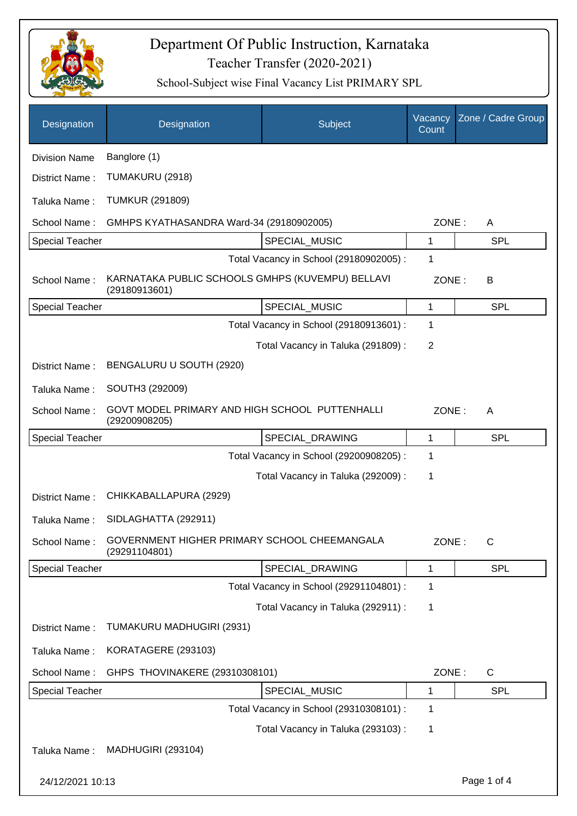

| Designation            | Designation                                                       | Subject                                 | Vacancy<br>Count | Zone / Cadre Group |
|------------------------|-------------------------------------------------------------------|-----------------------------------------|------------------|--------------------|
| <b>Division Name</b>   | Banglore (1)                                                      |                                         |                  |                    |
| District Name:         | TUMAKURU (2918)                                                   |                                         |                  |                    |
| Taluka Name:           | <b>TUMKUR (291809)</b>                                            |                                         |                  |                    |
| School Name:           | GMHPS KYATHASANDRA Ward-34 (29180902005)                          |                                         | ZONE:            | A                  |
| <b>Special Teacher</b> |                                                                   | SPECIAL_MUSIC                           | 1                | <b>SPL</b>         |
|                        |                                                                   | Total Vacancy in School (29180902005) : | 1                |                    |
| School Name:           | KARNATAKA PUBLIC SCHOOLS GMHPS (KUVEMPU) BELLAVI<br>(29180913601) |                                         | ZONE:            | B                  |
| <b>Special Teacher</b> |                                                                   | SPECIAL MUSIC                           | 1                | <b>SPL</b>         |
|                        |                                                                   | Total Vacancy in School (29180913601) : | 1                |                    |
|                        |                                                                   | Total Vacancy in Taluka (291809):       | $\overline{2}$   |                    |
| District Name:         | BENGALURU U SOUTH (2920)                                          |                                         |                  |                    |
| Taluka Name:           | SOUTH3 (292009)                                                   |                                         |                  |                    |
| School Name:           | GOVT MODEL PRIMARY AND HIGH SCHOOL PUTTENHALLI<br>(29200908205)   |                                         | ZONE:            | A                  |
| <b>Special Teacher</b> |                                                                   | SPECIAL_DRAWING                         | 1                | <b>SPL</b>         |
|                        |                                                                   | Total Vacancy in School (29200908205) : | 1                |                    |
|                        |                                                                   | Total Vacancy in Taluka (292009) :      | 1                |                    |
| District Name:         | CHIKKABALLAPURA (2929)                                            |                                         |                  |                    |
| Taluka Name:           | SIDLAGHATTA (292911)                                              |                                         |                  |                    |
| School Name:           | GOVERNMENT HIGHER PRIMARY SCHOOL CHEEMANGALA<br>(29291104801)     |                                         | ZONE:            | C                  |
| <b>Special Teacher</b> |                                                                   | SPECIAL_DRAWING                         | 1                | <b>SPL</b>         |
|                        |                                                                   | Total Vacancy in School (29291104801) : | 1                |                    |
|                        |                                                                   | Total Vacancy in Taluka (292911) :      | 1                |                    |
| District Name:         | TUMAKURU MADHUGIRI (2931)                                         |                                         |                  |                    |
| Taluka Name:           | KORATAGERE (293103)                                               |                                         |                  |                    |
| School Name:           | GHPS THOVINAKERE (29310308101)                                    |                                         | ZONE:            | C                  |
| <b>Special Teacher</b> |                                                                   | SPECIAL_MUSIC                           | 1                | <b>SPL</b>         |
|                        |                                                                   | Total Vacancy in School (29310308101) : | 1                |                    |
|                        |                                                                   | Total Vacancy in Taluka (293103):       | 1                |                    |
| Taluka Name:           | <b>MADHUGIRI (293104)</b>                                         |                                         |                  |                    |
| 24/12/2021 10:13       |                                                                   |                                         |                  | Page 1 of 4        |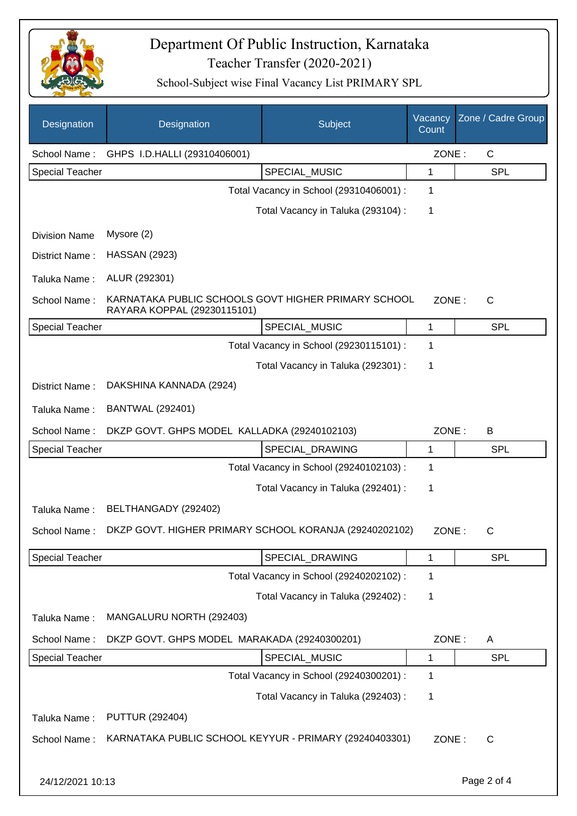

| Designation            | Designation                                                                        | Subject                                 | Vacancy<br>Count | Zone / Cadre Group |
|------------------------|------------------------------------------------------------------------------------|-----------------------------------------|------------------|--------------------|
| School Name:           | GHPS I.D.HALLI (29310406001)                                                       |                                         | ZONE:            | $\mathsf{C}$       |
| <b>Special Teacher</b> |                                                                                    | SPECIAL_MUSIC                           | 1                | <b>SPL</b>         |
|                        |                                                                                    | Total Vacancy in School (29310406001) : | 1                |                    |
|                        |                                                                                    | Total Vacancy in Taluka (293104) :      | 1                |                    |
| <b>Division Name</b>   | Mysore (2)                                                                         |                                         |                  |                    |
| District Name:         | <b>HASSAN (2923)</b>                                                               |                                         |                  |                    |
| Taluka Name:           | ALUR (292301)                                                                      |                                         |                  |                    |
| School Name:           | KARNATAKA PUBLIC SCHOOLS GOVT HIGHER PRIMARY SCHOOL<br>RAYARA KOPPAL (29230115101) |                                         | ZONE:            | C                  |
| <b>Special Teacher</b> |                                                                                    | SPECIAL_MUSIC                           | 1                | <b>SPL</b>         |
|                        |                                                                                    | Total Vacancy in School (29230115101) : | 1                |                    |
|                        |                                                                                    | Total Vacancy in Taluka (292301) :      | 1                |                    |
| District Name:         | DAKSHINA KANNADA (2924)                                                            |                                         |                  |                    |
| Taluka Name:           | <b>BANTWAL (292401)</b>                                                            |                                         |                  |                    |
| School Name:           | DKZP GOVT. GHPS MODEL KALLADKA (29240102103)                                       |                                         | ZONE:            | B                  |
| Special Teacher        |                                                                                    | SPECIAL_DRAWING                         | 1                | <b>SPL</b>         |
|                        |                                                                                    | Total Vacancy in School (29240102103) : | 1                |                    |
|                        |                                                                                    | Total Vacancy in Taluka (292401) :      | 1                |                    |
| Taluka Name:           | BELTHANGADY (292402)                                                               |                                         |                  |                    |
| School Name:           | DKZP GOVT. HIGHER PRIMARY SCHOOL KORANJA (29240202102)                             |                                         | ZONE:            | C                  |
| <b>Special Teacher</b> |                                                                                    | SPECIAL_DRAWING                         | 1                | <b>SPL</b>         |
|                        |                                                                                    | Total Vacancy in School (29240202102) : | 1                |                    |
|                        |                                                                                    | Total Vacancy in Taluka (292402) :      | 1                |                    |
| Taluka Name:           | MANGALURU NORTH (292403)                                                           |                                         |                  |                    |
| School Name:           | DKZP GOVT. GHPS MODEL MARAKADA (29240300201)                                       |                                         | ZONE:            | A                  |
| Special Teacher        |                                                                                    | SPECIAL_MUSIC                           | 1                | <b>SPL</b>         |
|                        |                                                                                    | Total Vacancy in School (29240300201) : | 1                |                    |
|                        |                                                                                    | Total Vacancy in Taluka (292403) :      | 1                |                    |
| Taluka Name:           | <b>PUTTUR (292404)</b>                                                             |                                         |                  |                    |
| School Name:           | KARNATAKA PUBLIC SCHOOL KEYYUR - PRIMARY (29240403301)                             |                                         | ZONE:            | C                  |
| 24/12/2021 10:13       |                                                                                    |                                         |                  | Page 2 of 4        |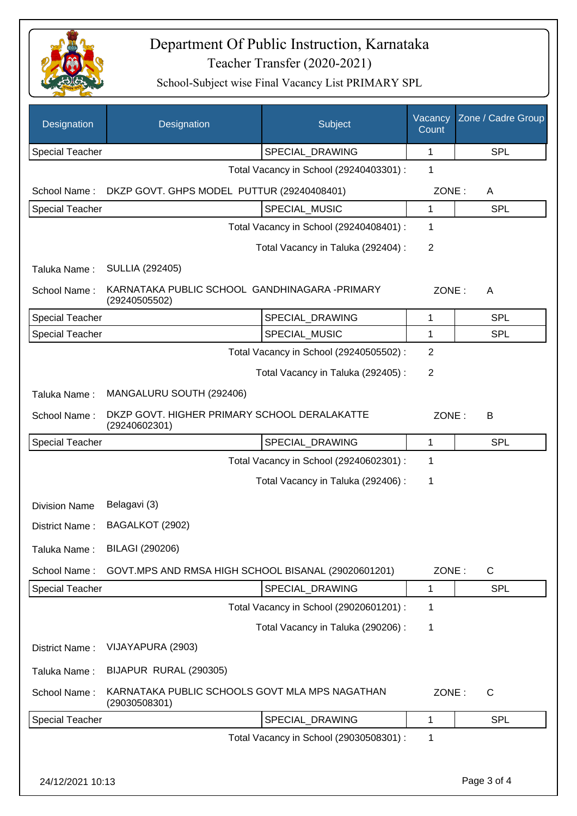

| Designation            | Designation                                                     | Subject                                 | Vacancy<br>Count | Zone / Cadre Group |
|------------------------|-----------------------------------------------------------------|-----------------------------------------|------------------|--------------------|
| <b>Special Teacher</b> |                                                                 | SPECIAL_DRAWING                         | 1                | <b>SPL</b>         |
|                        |                                                                 | Total Vacancy in School (29240403301) : | 1                |                    |
| School Name:           | DKZP GOVT. GHPS MODEL PUTTUR (29240408401)<br>ZONE:<br>A        |                                         |                  |                    |
| Special Teacher        |                                                                 | SPECIAL MUSIC                           | 1                | <b>SPL</b>         |
|                        |                                                                 | Total Vacancy in School (29240408401) : | 1                |                    |
|                        |                                                                 | Total Vacancy in Taluka (292404) :      | $\overline{2}$   |                    |
| Taluka Name:           | <b>SULLIA (292405)</b>                                          |                                         |                  |                    |
| School Name:           | KARNATAKA PUBLIC SCHOOL GANDHINAGARA -PRIMARY<br>(29240505502)  |                                         |                  | ZONE:<br>A         |
| <b>Special Teacher</b> |                                                                 | SPECIAL_DRAWING                         | 1                | <b>SPL</b>         |
| <b>Special Teacher</b> |                                                                 | SPECIAL_MUSIC                           | 1                | <b>SPL</b>         |
|                        |                                                                 | Total Vacancy in School (29240505502) : | $\overline{2}$   |                    |
|                        |                                                                 | Total Vacancy in Taluka (292405):       | $\overline{2}$   |                    |
| Taluka Name:           | MANGALURU SOUTH (292406)                                        |                                         |                  |                    |
| School Name:           | DKZP GOVT. HIGHER PRIMARY SCHOOL DERALAKATTE<br>(29240602301)   |                                         | ZONE:            | B                  |
| <b>Special Teacher</b> |                                                                 | SPECIAL_DRAWING                         | 1                | <b>SPL</b>         |
|                        |                                                                 | Total Vacancy in School (29240602301) : | 1                |                    |
|                        |                                                                 | Total Vacancy in Taluka (292406) :      | 1                |                    |
| <b>Division Name</b>   | Belagavi (3)                                                    |                                         |                  |                    |
| District Name:         | BAGALKOT (2902)                                                 |                                         |                  |                    |
| Taluka Name:           | BILAGI (290206)                                                 |                                         |                  |                    |
| School Name:           | GOVT.MPS AND RMSA HIGH SCHOOL BISANAL (29020601201)             |                                         | ZONE:            | C                  |
| Special Teacher        |                                                                 | SPECIAL_DRAWING                         | 1                | <b>SPL</b>         |
|                        |                                                                 | Total Vacancy in School (29020601201) : | 1                |                    |
|                        |                                                                 | Total Vacancy in Taluka (290206) :      | 1                |                    |
| District Name:         | VIJAYAPURA (2903)                                               |                                         |                  |                    |
| Taluka Name:           | BIJAPUR RURAL (290305)                                          |                                         |                  |                    |
| School Name:           | KARNATAKA PUBLIC SCHOOLS GOVT MLA MPS NAGATHAN<br>(29030508301) |                                         | ZONE:            | C                  |
| Special Teacher        |                                                                 | SPECIAL_DRAWING                         | 1                | <b>SPL</b>         |
|                        |                                                                 | Total Vacancy in School (29030508301) : | 1                |                    |
|                        |                                                                 |                                         |                  |                    |
| 24/12/2021 10:13       |                                                                 |                                         |                  | Page 3 of 4        |